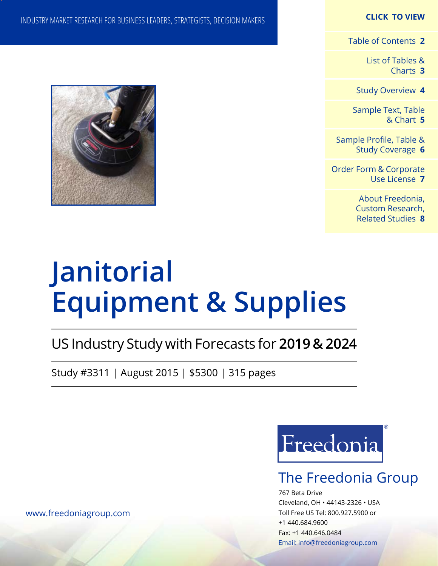### **CLICK TO VIEW**

[Table of Contents](#page-1-0) **2**

[List of Tables &](#page-2-0) [Charts](#page-2-0) **3**

[Study Overview](#page-3-0) **4**

[Sample Text, Table](#page-4-0) [& Chart](#page-4-0) **5**

[Sample Profile, Table &](#page-5-0) [Study Coverage](#page-5-0) **6**

[Order Form & Corporate](#page-6-0) [Use License](#page-6-0) **7**

> [About Freedonia,](#page-7-0) [Custom Research,](#page-7-0)  [Related Studies](#page-7-0) **8**

# INDUSTRY MARKET RESEARCH FOR BUSINESS LEADERS, STRATEGISTS, DECISION MAKERS



# **Equipment & Supplies**

# US Industry Study with Forecasts for **2019 & 2024**

Study #3311 | August 2015 | \$5300 | 315 pages



# The Freedonia Group

767 Beta Drive Cleveland, OH • 44143-2326 • USA Toll Free US Tel: 800.927.5900 or +1 440.684.9600 Fax: +1 440.646.0484 Email: [info@freedoniagroup.com](mailto:info@freedoniagroup.com)

[www.freedoniagroup.com](http://www.freedoniagroup.com/Home.aspx?ReferrerId=FM-Bro)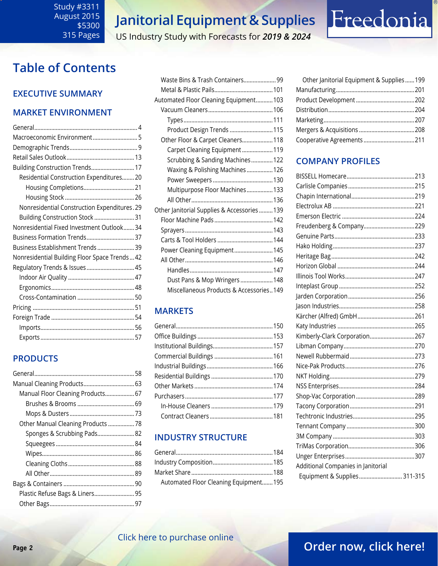### <span id="page-1-0"></span>Study #3311 August 2015 \$5300 315 Pages

# **Janitorial Equipment & Supplies**

### US Industry Study with Forecasts for *2019 & 2024*

# **Table of Contents**

### **Executive Summary**

### **Market EnvironmenT**

| Building Construction Trends 17               |
|-----------------------------------------------|
| Residential Construction Expenditures 20      |
| Housing Completions 21                        |
|                                               |
| Nonresidential Construction Expenditures. 29  |
| Building Construction Stock  31               |
| Nonresidential Fixed Investment Outlook34     |
| Business Formation Trends 37                  |
| Business Establishment Trends 39              |
| Nonresidential Building Floor Space Trends 42 |
| Regulatory Trends & Issues 45                 |
|                                               |
|                                               |
|                                               |
|                                               |
|                                               |
|                                               |
|                                               |

### **PRODUCTS**

| Manual Cleaning Products 63        |  |
|------------------------------------|--|
| Manual Floor Cleaning Products 67  |  |
|                                    |  |
|                                    |  |
| Other Manual Cleaning Products  78 |  |
| Sponges & Scrubbing Pads 82        |  |
|                                    |  |
|                                    |  |
|                                    |  |
|                                    |  |
|                                    |  |
|                                    |  |
|                                    |  |

| Waste Bins & Trash Containers 99           |  |
|--------------------------------------------|--|
|                                            |  |
| Automated Floor Cleaning Equipment103      |  |
|                                            |  |
|                                            |  |
| Product Design Trends  115                 |  |
| Other Floor & Carpet Cleaners 118          |  |
| Carpet Cleaning Equipment119               |  |
| Scrubbing & Sanding Machines 122           |  |
| Waxing & Polishing Machines 126            |  |
|                                            |  |
| Multipurpose Floor Machines 133            |  |
|                                            |  |
| Other Janitorial Supplies & Accessories139 |  |
|                                            |  |
|                                            |  |
|                                            |  |
| Power Cleaning Equipment 145               |  |
|                                            |  |
|                                            |  |
| Dust Pans & Mop Wringers  148              |  |
| Miscellaneous Products & Accessories149    |  |

### **MARKETS**

### **INDUSTRY STRUCTURE**

| Automated Floor Cleaning Equipment 195 |  |
|----------------------------------------|--|

| Other Janitorial Equipment & Supplies199 |  |
|------------------------------------------|--|
|                                          |  |
|                                          |  |
|                                          |  |
|                                          |  |
|                                          |  |
| Cooperative Agreements 211               |  |

Freedonia

### **Company Profiles**

| Freudenberg & Company 229          |  |
|------------------------------------|--|
|                                    |  |
|                                    |  |
|                                    |  |
|                                    |  |
|                                    |  |
|                                    |  |
|                                    |  |
|                                    |  |
|                                    |  |
|                                    |  |
| Kimberly-Clark Corporation267      |  |
|                                    |  |
|                                    |  |
|                                    |  |
|                                    |  |
|                                    |  |
|                                    |  |
|                                    |  |
|                                    |  |
|                                    |  |
|                                    |  |
|                                    |  |
|                                    |  |
| Additional Companies in Janitorial |  |
| Equipment & Supplies 311-315       |  |

# **Page 2 CHER HERE TO PATE HAS COMMUNIST STATE OF A COLLEGE OF A COLLEGE OF A COLLEGE OF A COLLEGE OF A COLLEGE OF A COLLEGE OF A COLLEGE OF A COLLEGE OF A COLLEGE OF A COLLEGE OF A COLLEGE OF A COLLEGE OF A COLLEGE OF A**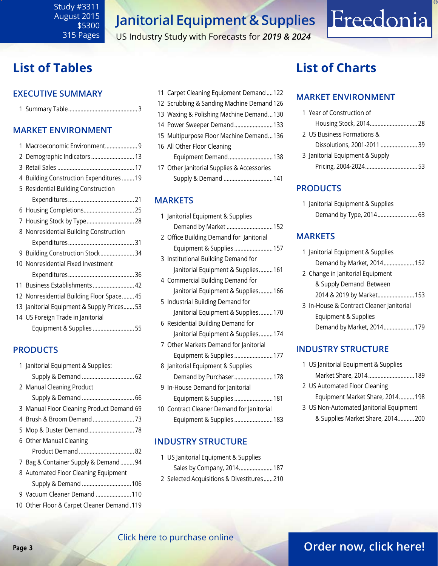### <span id="page-2-0"></span>Study #3311 August 2015 \$5300 315 Pages

# **Janitorial Equipment & Supplies**

US Industry Study with Forecasts for *2019 & 2024*

# **List of Tables**

### **Executive Summary**

|--|--|

### **Market EnvironmenT**

| 1 | Macroeconomic Environment 9                |
|---|--------------------------------------------|
|   | 2 Demographic Indicators  13               |
|   |                                            |
|   | 4 Building Construction Expenditures  19   |
|   | 5 Residential Building Construction        |
|   |                                            |
|   |                                            |
|   | 7 Housing Stock by Type 28                 |
|   | 8 Nonresidential Building Construction     |
|   |                                            |
|   | 9 Building Construction Stock34            |
|   | 10 Nonresidential Fixed Investment         |
|   |                                            |
|   | 11 Business Establishments 42              |
|   | 12 Nonresidential Building Floor Space 45  |
|   | 13 Janitorial Equipment & Supply Prices 53 |
|   | 14 US Foreign Trade in Janitorial          |
|   | Equipment & Supplies  55                   |
|   |                                            |

### **PRODUCTS**

| 1 Janitorial Equipment & Supplies:         |
|--------------------------------------------|
|                                            |
| 2 Manual Cleaning Product                  |
|                                            |
| 3 Manual Floor Cleaning Product Demand 69  |
|                                            |
|                                            |
| 6 Other Manual Cleaning                    |
|                                            |
| 7 Bag & Container Supply & Demand 94       |
|                                            |
| 8 Automated Floor Cleaning Equipment       |
| Supply & Demand  106                       |
| 9 Vacuum Cleaner Demand 110                |
| 10 Other Floor & Carpet Cleaner Demand.119 |

|  | 11 Carpet Cleaning Equipment Demand122     |
|--|--------------------------------------------|
|  | 12 Scrubbing & Sanding Machine Demand 126  |
|  | 13 Waxing & Polishing Machine Demand130    |
|  | 14 Power Sweeper Demand 133                |
|  | 15 Multipurpose Floor Machine Demand136    |
|  | 16 All Other Floor Cleaning                |
|  | Equipment Demand138                        |
|  | 17 Other Janitorial Supplies & Accessories |
|  | Supply & Demand  141                       |

### **MARKETS**

| 1 Janitorial Equipment & Supplies         |
|-------------------------------------------|
| Demand by Market  152                     |
| 2 Office Building Demand for Janitorial   |
| Equipment & Supplies 157                  |
| 3 Institutional Building Demand for       |
| Janitorial Equipment & Supplies161        |
| 4 Commercial Building Demand for          |
| Janitorial Equipment & Supplies166        |
| 5 Industrial Building Demand for          |
| Janitorial Equipment & Supplies170        |
| 6 Residential Building Demand for         |
| Janitorial Equipment & Supplies174        |
| 7 Other Markets Demand for Janitorial     |
| Equipment & Supplies  177                 |
| 8 Janitorial Equipment & Supplies         |
| Demand by Purchaser 178                   |
| 9 In-House Demand for Janitorial          |
| Equipment & Supplies  181                 |
| 10 Contract Cleaner Demand for Janitorial |
| Equipment & Supplies  183                 |
|                                           |

### **INDUSTRY STRUCTURE**

1 US Janitorial Equipment & Supplies Sales by Company, 2014......................187 2 Selected Acquisitions & Divestitures......210

# **List of Charts**

### **MARKET ENVIRONMENT**

| 1 Year of Construction of       |  |
|---------------------------------|--|
|                                 |  |
| 2 US Business Formations &      |  |
| Dissolutions, 2001-2011  39     |  |
| 3 Janitorial Equipment & Supply |  |
|                                 |  |

Freedonia

### **PRODUCTS**

| 1 Janitorial Equipment & Supplies |  |
|-----------------------------------|--|
| Demand by Type, 2014 63           |  |

### **MARKETS**

| 1 Janitorial Equipment & Supplies        |
|------------------------------------------|
| Demand by Market, 2014 152               |
| 2 Change in Janitorial Equipment         |
| & Supply Demand Between                  |
| 2014 & 2019 by Market153                 |
| 3 In-House & Contract Cleaner Janitorial |
| Equipment & Supplies                     |
| Demand by Market, 2014179                |
|                                          |

### **INDUSTRY STRUCTURE**

| 1 US Janitorial Equipment & Supplies    |  |
|-----------------------------------------|--|
| Market Share, 2014 189                  |  |
| 2 US Automated Floor Cleaning           |  |
| Equipment Market Share, 2014 198        |  |
| 3 US Non-Automated Janitorial Equipment |  |
| & Supplies Market Share, 2014200        |  |

### [Click here to purchase online](http://www.freedoniagroup.com/DocumentDetails.aspx?Referrerid=FM-Bro&StudyID=3311)

# **Page 3 CHER HERE IS PARTICLE OF PARTICLE 2 [Order now, click here!](#page-6-0)**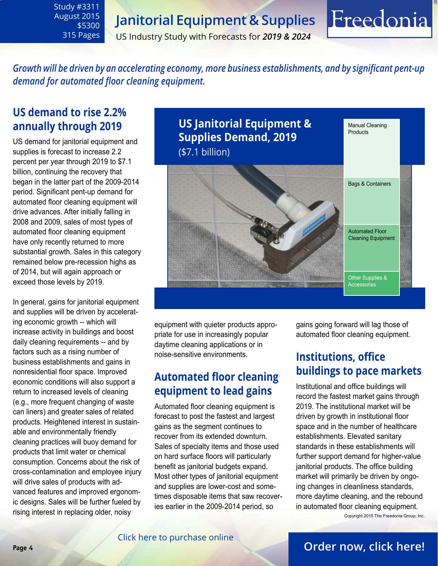# **Janitorial Equipment & Supplies**

US Industry Study with Forecasts for *2019 & 2024*

*Growth will be driven by an accelerating economy, more business establishments, and by significant pent-up demand for automated floor cleaning equipment.* 

# **US demand to rise 2.2% annually through 2019**

<span id="page-3-0"></span>Study #3311 August 2015

> \$5300 315 Pages

US demand for janitorial equipment and supplies is forecast to increase 2.2 percent per year through 2019 to \$7.1 billion, continuing the recovery that began in the latter part of the 2009-2014 period. Significant pent-up demand for automated floor cleaning equipment will drive advances. After initially falling in 2008 and 2009, sales of most types of automated floor cleaning equipment have only recently returned to more substantial growth. Sales in this category remained below pre-recession highs as of 2014, but will again approach or exceed those levels by 2019.

In general, gains for janitorial equipment and supplies will be driven by accelerating economic growth -- which will increase activity in buildings and boost daily cleaning requirements -- and by factors such as a rising number of business establishments and gains in nonresidential floor space. Improved economic conditions will also support a return to increased levels of cleaning (e.g., more frequent changing of waste can liners) and greater sales of related products. Heightened interest in sustainable and environmentally friendly cleaning practices will buoy demand for products that limit water or chemical consumption. Concerns about the risk of cross-contamination and employee injury will drive sales of products with advanced features and improved ergonomic designs. Sales will be further fueled by rising interest in replacing older, noisy

**US Janitorial Equipment & Supplies Demand, 2019** (\$7.1 billion) Manual Cleaning **Products Other Supplies & Accessories** Bags & Containers Automated Floor Cleaning Equipment

equipment with quieter products appropriate for use in increasingly popular daytime cleaning applications or in noise-sensitive environments.

# **Automated floor cleaning equipment to lead gains**

Automated floor cleaning equipment is forecast to post the fastest and largest gains as the segment continues to recover from its extended downturn. Sales of specialty items and those used on hard surface floors will particularly benefit as janitorial budgets expand. Most other types of janitorial equipment and supplies are lower-cost and sometimes disposable items that saw recoveries earlier in the 2009-2014 period, so

gains going forward will lag those of automated floor cleaning equipment.

Freedonia

# **Institutions, office buildings to pace markets**

Institutional and office buildings will record the fastest market gains through 2019. The institutional market will be driven by growth in institutional floor space and in the number of healthcare establishments. Elevated sanitary standards in these establishments will further support demand for higher-value janitorial products. The office building market will primarily be driven by ongoing changes in cleanliness standards, more daytime cleaning, and the rebound in automated floor cleaning equipment. Copyright 2015 The Freedonia Group, Inc.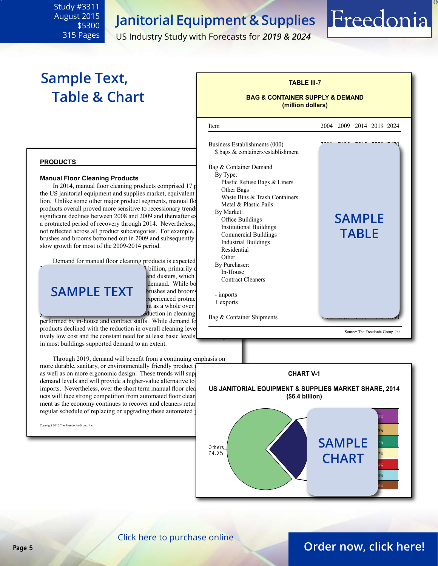# **Janitorial Equipment & Supplies**

ׇ֦֘

US Industry Study with Forecasts for *2019 & 2024*

# **Sample Text, Table & Chart**

<span id="page-4-0"></span>Study #3311 August 2015

> \$5300 315 Pages

### **BAG & CONTAINER SUPPLY & DEMAND**

Freedonia

**(million dollars)**

**TABLE III-7**



### **products**

#### **Manual Floor Cleaning Products**

In 2014, manual floor cleaning products comprised  $17$  p the US janitorial equipment and supplies market, equivalent lion. Unlike some other major product segments, manual flo products overall proved more sensitive to recessionary trends significant declines between 2008 and 2009 and thereafter  $\frac{Dy}{2}$  Market. a protracted period of recovery through 2014. Nevertheless, not reflected across all product subcategories. For example, brushes and brooms bottomed out in 2009 and subsequently slow growth for most of the 2009-2014 period.

Demand for manual floor cleaning products is expected  $\begin{bmatrix} \text{Other} \\ \text{D} \\ \text{D} \\ \text{D} \end{bmatrix}$ 

billion, primarily d and dusters, which demand. While bo **COMPLE TEXT** brushes and brooms rimp xperienced protrac nt as a whole over duction in cleaning

performed by in-house and contract staffs. While demand for products declined with the reduction in overall cleaning level tively low cost and the constant need for at least basic levels in most buildings supported demand to an extent.

 Through 2019, demand will benefit from a continuing emphasis on more durable, sanitary, or environmentally friendly product as well as on more ergonomic design. These trends will supdemand levels and will provide a higher-value alternative to imports. Nevertheless, over the short term manual floor clea ucts will face strong competition from automated floor clean ment as the economy continues to recover and cleaners return regular schedule of replacing or upgrading these automated

Copyright 2015 The Freedonia Group, Inc.





[Click here to purchase online](http://www.freedoniagroup.com/DocumentDetails.aspx?Referrerid=FM-Bro&StudyID=3311)

# **Page 5 [Order now, click here!](#page-6-0)**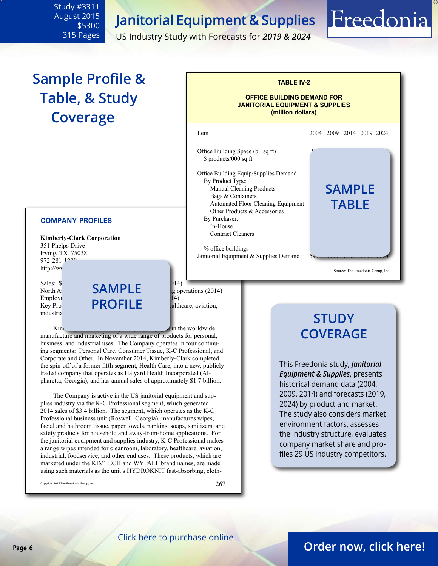**Janitorial Equipment & Supplies**

US Industry Study with Forecasts for *2019 & 2024*

Office Building Space (bil sq ft)  $$ products/000 sqft$ 

 By Product Type: 

 By Purchaser: 

**Contract Cleaners** 

 $%$  office buildings

Office Building Equip/Supplies Demand

Janitorial Equipment  $&$  Supplies Demand

Automated Floor Cleaning Equipment Other Products & Accessories

Manual Cleaning Products Bags & Containers

j

**TABLE IV-2**

**OFFICE BUILDING DEMAND FOR JANITORIAL EQUIPMENT & SUPPLIES (million dollars)**

Item 2004 2009 2014 2019 2024

 In-House 898 863 960 1070 1165

# **Sample Profile & Table, & Study Coverage**

<span id="page-5-0"></span>Study #3311 August 2015

> \$5300 315 Pages

#### **COMPANY PROFILES**

**Kimberly-Clark Corporation** 351 Phelps Drive Irving, TX 75038  $972 - 281 - 1200$ http://ww

industria

Sales: \$19.7 **SAMPLE** by separation from the set of the set of the set of the set of the set of the set of the set of the set of the set of the set of the set of the set of the set of the set of the set of the set of the s Employi<br>Key Pro**file PROFILE** alt Key Products:  $PROFILE$  balthcare, aviation,

North Al**m SAMPLE** by operations (2014)<br>Employ **continuing from continuing the CO**  $\overline{14}$ 

 $\lim_{n \to \infty}$  in the worldwide manufacture and marketing of a wide range of products for personal, business, and industrial uses. The Company operates in four continuing segments: Personal Care, Consumer Tissue, K-C Professional, and Corporate and Other. In November 2014, Kimberly-Clark completed the spin-off of a former fifth segment, Health Care, into a new, publicly traded company that operates as Halyard Health Incorporated (Alpharetta, Georgia), and has annual sales of approximately \$1.7 billion.

 The Company is active in the US janitorial equipment and supplies industry via the K-C Professional segment, which generated 2014 sales of \$3.4 billion. The segment, which operates as the K-C Professional business unit (Roswell, Georgia), manufactures wipes, facial and bathroom tissue, paper towels, napkins, soaps, sanitizers, and safety products for household and away-from-home applications. For the janitorial equipment and supplies industry, K-C Professional makes a range wipes intended for cleanroom, laboratory, healthcare, aviation, industrial, foodservice, and other end uses. These products, which are marketed under the KIMTECH and WYPALL brand names, are made using such materials as the unit's HYDROKNIT fast-absorbing, cloth-

Copyright 2015 The Freedonia Group, Inc.  $267$ 

# **STUDY COVERAGE**

Source: The Freedonia Group, Inc.

**sample**

Freedonia

**table**

This Freedonia study, *Janitorial Equipment & Supplies*, presents historical demand data (2004, 2009, 2014) and forecasts (2019, 2024) by product and market. The study also considers market environment factors, assesses the industry structure, evaluates company market share and profiles 29 US industry competitors.

### **Page 6 [Order now, click here!](#page-6-0)**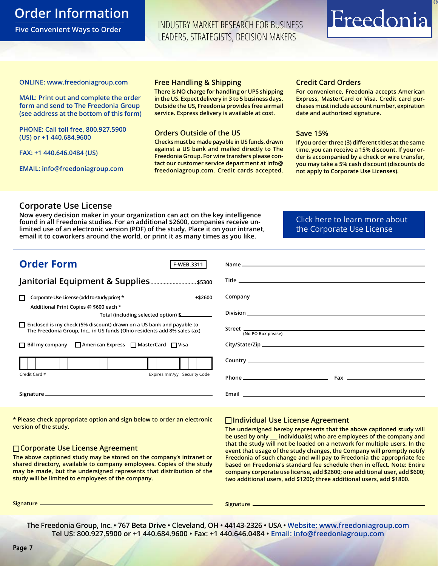# <span id="page-6-0"></span>**Order Information**

**Five Convenient Ways to Order**

INDUSTRY MARKET RESEARCH FOR BUSINESS LEADERS, STRATEGISTS, DECISION MAKERS

# Freedonia

#### **ONLINE: [www.freedoniagroup.com](http://www.freedoniagroup.com/DocumentDetails.aspx?Referrerid=FM-Bro&StudyID=3311)**

**MAIL: Print out and complete the order form and send to The Freedonia Group (see address at the bottom of this form)**

**PHONE: Call toll free, 800.927.5900 (US) or +1 440.684.9600**

**FAX: +1 440.646.0484 (US)**

**EMAIL: [info@freedoniagroup.com](mailto:info@freedoniagroup.com)**

#### **Free Handling & Shipping**

**There is NO charge for handling or UPS shipping in the US. Expect delivery in 3 to 5 business days. Outside the US, Freedonia provides free airmail service. Express delivery is available at cost.**

### **Orders Outside of the US**

**Checks must be made payable in US funds, drawn against a US bank and mailed directly to The Freedonia Group. For wire transfers please contact our customer service department at info@ freedoniagroup.com. Credit cards accepted.**

### **Credit Card Orders**

**For convenience, Freedonia accepts American Express, MasterCard or Visa. Credit card purchases must include account number, expiration date and authorized signature.**

### **Save 15%**

**If you order three (3) different titles at the same time, you can receive a 15% discount. If your order is accompanied by a check or wire transfer, you may take a 5% cash discount (discounts do not apply to Corporate Use Licenses).**

### **Corporate Use License**

**Now every decision maker in your organization can act on the key intelligence found in all Freedonia studies. For an additional \$2600, companies receive unlimited use of an electronic version (PDF) of the study. Place it on your intranet, email it to coworkers around the world, or print it as many times as you like.** 

[Click here to learn more about](http://www.freedoniagroup.com/pdf/FreedoniaCULBro.pdf)  [the Corporate Use License](http://www.freedoniagroup.com/pdf/FreedoniaCULBro.pdf)

| <b>Order Form</b><br>F-WEB.3311                                                                                                                         |                    |
|---------------------------------------------------------------------------------------------------------------------------------------------------------|--------------------|
|                                                                                                                                                         |                    |
|                                                                                                                                                         |                    |
| Corporate Use License (add to study price) *<br>$+ $2600$<br>П                                                                                          |                    |
| - Additional Print Copies @ \$600 each *<br>Total (including selected option) \$                                                                        |                    |
| $\Box$ Enclosed is my check (5% discount) drawn on a US bank and payable to<br>The Freedonia Group, Inc., in US funds (Ohio residents add 8% sales tax) | (No PO Box please) |
| $\Box$ Bill my company $\Box$ American Express $\Box$ MasterCard $\Box$ Visa                                                                            |                    |
|                                                                                                                                                         |                    |
| Expires mm/yy Security Code<br>Credit Card #                                                                                                            |                    |
|                                                                                                                                                         |                    |

**\* Please check appropriate option and sign below to order an electronic version of the study.**

### **Corporate Use License Agreement**

**The above captioned study may be stored on the company's intranet or shared directory, available to company employees. Copies of the study may be made, but the undersigned represents that distribution of the study will be limited to employees of the company.**

### **Individual Use License Agreement**

**The undersigned hereby represents that the above captioned study will be used by only \_\_\_ individual(s) who are employees of the company and that the study will not be loaded on a network for multiple users. In the event that usage of the study changes, the Company will promptly notify Freedonia of such change and will pay to Freedonia the appropriate fee based on Freedonia's standard fee schedule then in effect. Note: Entire company corporate use license, add \$2600; one additional user, add \$600; two additional users, add \$1200; three additional users, add \$1800.**

**Signature Signature**

**The Freedonia Group, Inc. • 767 Beta Drive • Cleveland, OH • 44143-2326 • USA • [Website: www.freedoniagroup.com](http://www.freedoniagroup.com/Home.aspx?ReferrerId=FM-Bro) Tel US: 800.927.5900 or +1 440.684.9600 • Fax: +1 440.646.0484 • [Email: info@freedoniagroup.com](mailto:info@freedoniagroup.com)**